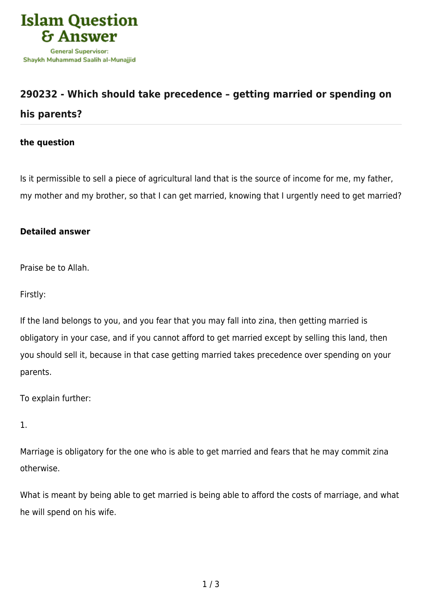

## **[290232 - Which should take precedence – getting married or spending on](https://islamqa.com/en/answers/290232/which-should-take-precedence-getting-married-or-spending-on-his-parents) [his parents?](https://islamqa.com/en/answers/290232/which-should-take-precedence-getting-married-or-spending-on-his-parents)**

## **the question**

Is it permissible to sell a piece of agricultural land that is the source of income for me, my father, my mother and my brother, so that I can get married, knowing that I urgently need to get married?

## **Detailed answer**

Praise be to Allah.

Firstly:

If the land belongs to you, and you fear that you may fall into zina, then getting married is obligatory in your case, and if you cannot afford to get married except by selling this land, then you should sell it, because in that case getting married takes precedence over spending on your parents.

To explain further:

1.

Marriage is obligatory for the one who is able to get married and fears that he may commit zina otherwise.

What is meant by being able to get married is being able to afford the costs of marriage, and what he will spend on his wife.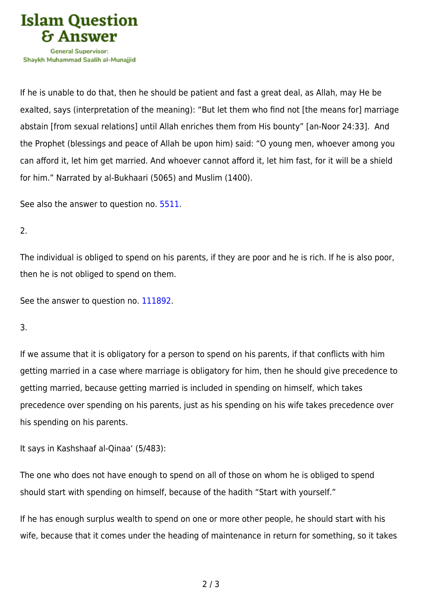

If he is unable to do that, then he should be patient and fast a great deal, as Allah, may He be exalted, says (interpretation of the meaning): "But let them who find not [the means for] marriage abstain [from sexual relations] until Allah enriches them from His bounty" [an-Noor 24:33]. And the Prophet (blessings and peace of Allah be upon him) said: "O young men, whoever among you can afford it, let him get married. And whoever cannot afford it, let him fast, for it will be a shield for him." Narrated by al-Bukhaari (5065) and Muslim (1400).

See also the answer to question no. [5511.](https://islamqa.com/en/answers/5511)

2.

The individual is obliged to spend on his parents, if they are poor and he is rich. If he is also poor, then he is not obliged to spend on them.

See the answer to question no. [111892](https://islamqa.com/en/answers/111892).

3.

If we assume that it is obligatory for a person to spend on his parents, if that conflicts with him getting married in a case where marriage is obligatory for him, then he should give precedence to getting married, because getting married is included in spending on himself, which takes precedence over spending on his parents, just as his spending on his wife takes precedence over his spending on his parents.

It says in Kashshaaf al-Qinaa' (5/483):

The one who does not have enough to spend on all of those on whom he is obliged to spend should start with spending on himself, because of the hadith "Start with yourself."

If he has enough surplus wealth to spend on one or more other people, he should start with his wife, because that it comes under the heading of maintenance in return for something, so it takes